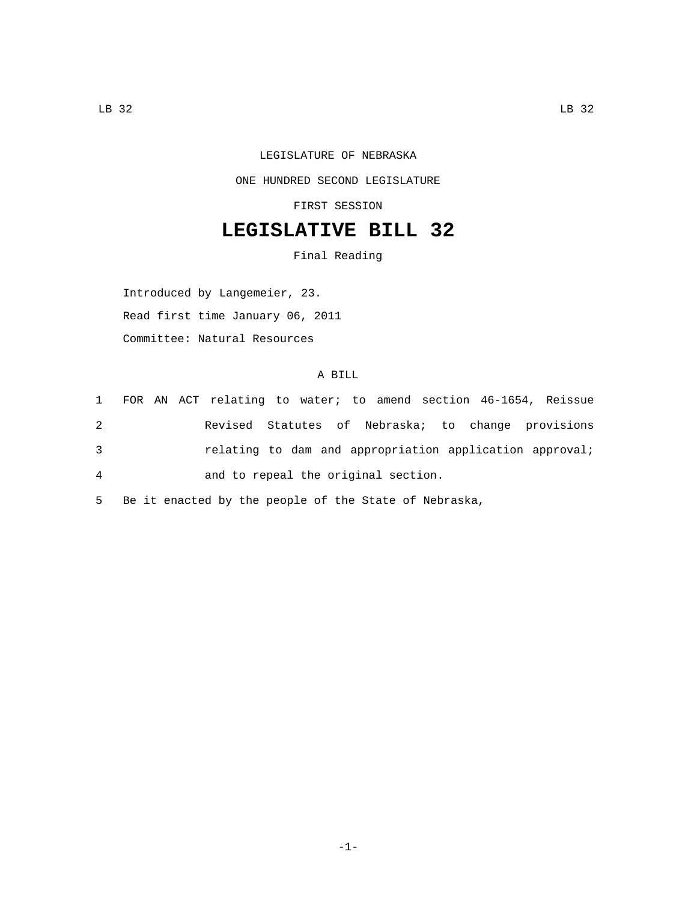## LEGISLATURE OF NEBRASKA ONE HUNDRED SECOND LEGISLATURE FIRST SESSION

## **LEGISLATIVE BILL 32**

Final Reading

Introduced by Langemeier, 23. Read first time January 06, 2011 Committee: Natural Resources

## A BILL

|   |  | 1 FOR AN ACT relating to water; to amend section 46-1654, Reissue |  |  |  |
|---|--|-------------------------------------------------------------------|--|--|--|
| 2 |  | Revised Statutes of Nebraska; to change provisions                |  |  |  |
| 3 |  | relating to dam and appropriation application approval;           |  |  |  |
| 4 |  | and to repeal the original section.                               |  |  |  |
|   |  |                                                                   |  |  |  |

5 Be it enacted by the people of the State of Nebraska,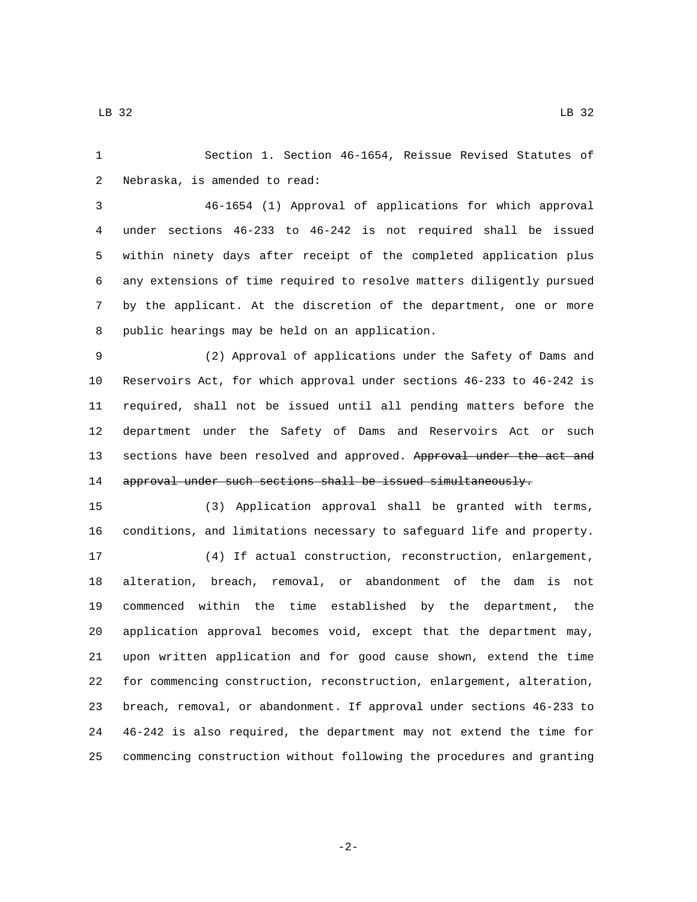Section 1. Section 46-1654, Reissue Revised Statutes of 2 Nebraska, is amended to read:

 46-1654 (1) Approval of applications for which approval under sections 46-233 to 46-242 is not required shall be issued within ninety days after receipt of the completed application plus any extensions of time required to resolve matters diligently pursued by the applicant. At the discretion of the department, one or more 8 public hearings may be held on an application.

 (2) Approval of applications under the Safety of Dams and Reservoirs Act, for which approval under sections 46-233 to 46-242 is required, shall not be issued until all pending matters before the department under the Safety of Dams and Reservoirs Act or such 13 sections have been resolved and approved. Approval under the act and approval under such sections shall be issued simultaneously.

 (3) Application approval shall be granted with terms, conditions, and limitations necessary to safeguard life and property.

 (4) If actual construction, reconstruction, enlargement, alteration, breach, removal, or abandonment of the dam is not commenced within the time established by the department, the application approval becomes void, except that the department may, upon written application and for good cause shown, extend the time for commencing construction, reconstruction, enlargement, alteration, breach, removal, or abandonment. If approval under sections 46-233 to 46-242 is also required, the department may not extend the time for commencing construction without following the procedures and granting

-2-